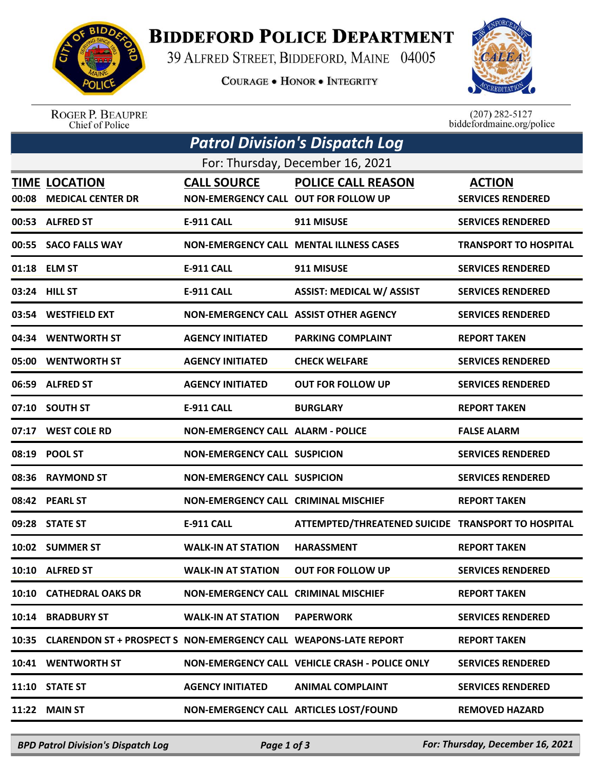

## **BIDDEFORD POLICE DEPARTMENT**

39 ALFRED STREET, BIDDEFORD, MAINE 04005

**COURAGE . HONOR . INTEGRITY** 



ROGER P. BEAUPRE<br>Chief of Police

 $(207)$  282-5127<br>biddefordmaine.org/police

| <b>Patrol Division's Dispatch Log</b> |                                                                        |                                                            |                                                    |                                           |  |  |  |
|---------------------------------------|------------------------------------------------------------------------|------------------------------------------------------------|----------------------------------------------------|-------------------------------------------|--|--|--|
| For: Thursday, December 16, 2021      |                                                                        |                                                            |                                                    |                                           |  |  |  |
| 00:08                                 | <b>TIME LOCATION</b><br><b>MEDICAL CENTER DR</b>                       | <b>CALL SOURCE</b><br>NON-EMERGENCY CALL OUT FOR FOLLOW UP | <b>POLICE CALL REASON</b>                          | <b>ACTION</b><br><b>SERVICES RENDERED</b> |  |  |  |
|                                       | 00:53 ALFRED ST                                                        | <b>E-911 CALL</b>                                          | 911 MISUSE                                         | <b>SERVICES RENDERED</b>                  |  |  |  |
|                                       | 00:55 SACO FALLS WAY                                                   |                                                            | <b>NON-EMERGENCY CALL MENTAL ILLNESS CASES</b>     | <b>TRANSPORT TO HOSPITAL</b>              |  |  |  |
|                                       | 01:18 ELM ST                                                           | <b>E-911 CALL</b>                                          | 911 MISUSE                                         | <b>SERVICES RENDERED</b>                  |  |  |  |
|                                       | 03:24 HILL ST                                                          | <b>E-911 CALL</b>                                          | <b>ASSIST: MEDICAL W/ ASSIST</b>                   | <b>SERVICES RENDERED</b>                  |  |  |  |
|                                       | 03:54 WESTFIELD EXT                                                    | NON-EMERGENCY CALL ASSIST OTHER AGENCY                     |                                                    | <b>SERVICES RENDERED</b>                  |  |  |  |
|                                       | 04:34 WENTWORTH ST                                                     | <b>AGENCY INITIATED</b>                                    | <b>PARKING COMPLAINT</b>                           | <b>REPORT TAKEN</b>                       |  |  |  |
|                                       | 05:00 WENTWORTH ST                                                     | <b>AGENCY INITIATED</b>                                    | <b>CHECK WELFARE</b>                               | <b>SERVICES RENDERED</b>                  |  |  |  |
|                                       | 06:59 ALFRED ST                                                        | <b>AGENCY INITIATED</b>                                    | <b>OUT FOR FOLLOW UP</b>                           | <b>SERVICES RENDERED</b>                  |  |  |  |
|                                       | 07:10 SOUTH ST                                                         | <b>E-911 CALL</b>                                          | <b>BURGLARY</b>                                    | <b>REPORT TAKEN</b>                       |  |  |  |
|                                       | 07:17 WEST COLE RD                                                     | <b>NON-EMERGENCY CALL ALARM - POLICE</b>                   |                                                    | <b>FALSE ALARM</b>                        |  |  |  |
| 08:19                                 | <b>POOL ST</b>                                                         | <b>NON-EMERGENCY CALL SUSPICION</b>                        |                                                    | <b>SERVICES RENDERED</b>                  |  |  |  |
|                                       | 08:36 RAYMOND ST                                                       | <b>NON-EMERGENCY CALL SUSPICION</b>                        |                                                    | <b>SERVICES RENDERED</b>                  |  |  |  |
|                                       | 08:42 PEARL ST                                                         | <b>NON-EMERGENCY CALL CRIMINAL MISCHIEF</b>                |                                                    | <b>REPORT TAKEN</b>                       |  |  |  |
|                                       | 09:28 STATE ST                                                         | <b>E-911 CALL</b>                                          | ATTEMPTED/THREATENED SUICIDE TRANSPORT TO HOSPITAL |                                           |  |  |  |
|                                       | 10:02 SUMMER ST                                                        | <b>WALK-IN AT STATION</b>                                  | <b>HARASSMENT</b>                                  | <b>REPORT TAKEN</b>                       |  |  |  |
|                                       | 10:10 ALFRED ST                                                        | <b>WALK-IN AT STATION</b>                                  | <b>OUT FOR FOLLOW UP</b>                           | <b>SERVICES RENDERED</b>                  |  |  |  |
|                                       | 10:10 CATHEDRAL OAKS DR                                                | <b>NON-EMERGENCY CALL CRIMINAL MISCHIEF</b>                |                                                    | <b>REPORT TAKEN</b>                       |  |  |  |
|                                       | 10:14 BRADBURY ST                                                      | <b>WALK-IN AT STATION</b>                                  | <b>PAPERWORK</b>                                   | <b>SERVICES RENDERED</b>                  |  |  |  |
|                                       | 10:35 CLARENDON ST + PROSPECT S NON-EMERGENCY CALL WEAPONS-LATE REPORT |                                                            |                                                    | <b>REPORT TAKEN</b>                       |  |  |  |
|                                       | 10:41 WENTWORTH ST                                                     |                                                            | NON-EMERGENCY CALL VEHICLE CRASH - POLICE ONLY     | <b>SERVICES RENDERED</b>                  |  |  |  |
|                                       | 11:10 STATE ST                                                         | <b>AGENCY INITIATED</b>                                    | <b>ANIMAL COMPLAINT</b>                            | <b>SERVICES RENDERED</b>                  |  |  |  |
| 11:22                                 | <b>MAIN ST</b>                                                         | NON-EMERGENCY CALL ARTICLES LOST/FOUND                     |                                                    | <b>REMOVED HAZARD</b>                     |  |  |  |

*BPD Patrol Division's Dispatch Log Page 1 of 3 For: Thursday, December 16, 2021*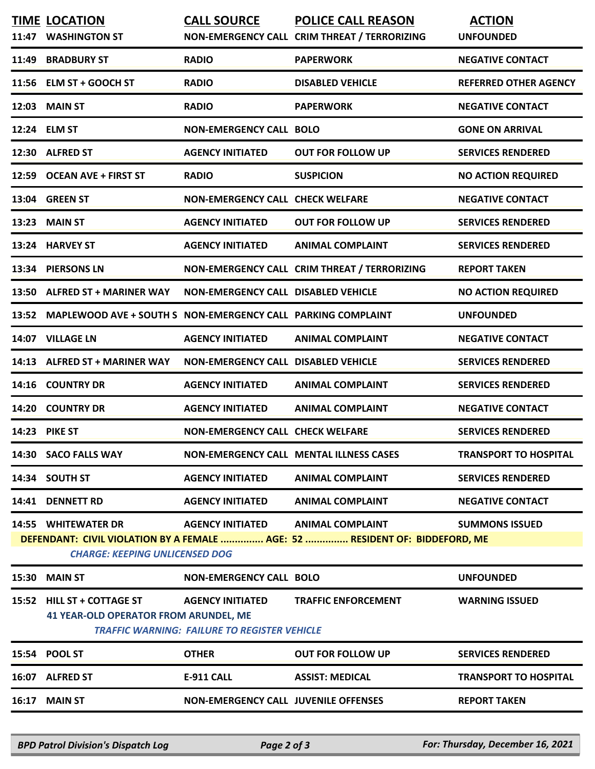| <b>BRADBURY ST</b><br><b>RADIO</b><br><b>PAPERWORK</b><br><b>NEGATIVE CONTACT</b><br>11:49<br>11:56 ELM ST + GOOCH ST<br><b>RADIO</b><br><b>REFERRED OTHER AGENCY</b><br><b>DISABLED VEHICLE</b><br><b>MAIN ST</b><br><b>RADIO</b><br><b>NEGATIVE CONTACT</b><br>12:03<br><b>PAPERWORK</b><br>12:24 ELM ST<br><b>NON-EMERGENCY CALL BOLO</b><br><b>GONE ON ARRIVAL</b><br><b>ALFRED ST</b><br><b>AGENCY INITIATED</b><br><b>OUT FOR FOLLOW UP</b><br><b>SERVICES RENDERED</b><br>12:30<br>12:59 OCEAN AVE + FIRST ST<br><b>RADIO</b><br><b>SUSPICION</b><br><b>NO ACTION REQUIRED</b><br>13:04 GREEN ST<br><b>NON-EMERGENCY CALL CHECK WELFARE</b><br><b>NEGATIVE CONTACT</b><br><b>MAIN ST</b><br><b>AGENCY INITIATED</b><br><b>OUT FOR FOLLOW UP</b><br><b>SERVICES RENDERED</b><br>13:23<br><b>HARVEY ST</b><br><b>AGENCY INITIATED</b><br><b>ANIMAL COMPLAINT</b><br><b>SERVICES RENDERED</b><br>13:24<br><b>PIERSONS LN</b><br>NON-EMERGENCY CALL CRIM THREAT / TERRORIZING<br>13:34<br><b>REPORT TAKEN</b><br><b>ALFRED ST + MARINER WAY</b><br><b>NON-EMERGENCY CALL DISABLED VEHICLE</b><br>13:50<br><b>NO ACTION REQUIRED</b><br>MAPLEWOOD AVE + SOUTH S NON-EMERGENCY CALL PARKING COMPLAINT<br>13:52<br><b>UNFOUNDED</b><br>14:07 VILLAGE LN<br><b>AGENCY INITIATED</b><br><b>ANIMAL COMPLAINT</b><br><b>NEGATIVE CONTACT</b><br><b>ALFRED ST + MARINER WAY</b><br><b>NON-EMERGENCY CALL DISABLED VEHICLE</b><br><b>SERVICES RENDERED</b><br>14:13<br><b>COUNTRY DR</b><br><b>AGENCY INITIATED</b><br><b>ANIMAL COMPLAINT</b><br><b>SERVICES RENDERED</b><br>14:16<br><b>COUNTRY DR</b><br><b>AGENCY INITIATED</b><br><b>ANIMAL COMPLAINT</b><br><b>NEGATIVE CONTACT</b><br>14:20<br>14:23 PIKE ST<br><b>NON-EMERGENCY CALL CHECK WELFARE</b><br><b>SERVICES RENDERED</b><br>14:30 SACO FALLS WAY<br><b>NON-EMERGENCY CALL MENTAL ILLNESS CASES</b><br><b>TRANSPORT TO HOSPITAL</b><br>14:34 SOUTH ST<br><b>AGENCY INITIATED</b><br><b>ANIMAL COMPLAINT</b><br><b>SERVICES RENDERED</b><br><b>DENNETT RD</b><br><b>AGENCY INITIATED</b><br><b>ANIMAL COMPLAINT</b><br><b>NEGATIVE CONTACT</b><br>14:41<br><b>14:55 WHITEWATER DR</b><br><b>AGENCY INITIATED</b><br><b>ANIMAL COMPLAINT</b><br><b>SUMMONS ISSUED</b><br>DEFENDANT: CIVIL VIOLATION BY A FEMALE  AGE: 52  RESIDENT OF: BIDDEFORD, ME<br><b>CHARGE: KEEPING UNLICENSED DOG</b><br><b>MAIN ST</b><br><b>NON-EMERGENCY CALL BOLO</b><br><b>UNFOUNDED</b><br>15:30<br>15:52 HILL ST + COTTAGE ST<br><b>TRAFFIC ENFORCEMENT</b><br><b>AGENCY INITIATED</b><br><b>WARNING ISSUED</b><br><b>41 YEAR-OLD OPERATOR FROM ARUNDEL, ME</b><br><b>TRAFFIC WARNING: FAILURE TO REGISTER VEHICLE</b><br>15:54 POOL ST<br><b>OTHER</b><br><b>OUT FOR FOLLOW UP</b><br><b>SERVICES RENDERED</b><br><b>TRANSPORT TO HOSPITAL</b><br>16:07 ALFRED ST<br><b>E-911 CALL</b><br><b>ASSIST: MEDICAL</b><br><b>MAIN ST</b><br><b>NON-EMERGENCY CALL JUVENILE OFFENSES</b><br><b>REPORT TAKEN</b><br>16:17 | 11:47 | <b>TIME LOCATION</b><br><b>WASHINGTON ST</b> | <b>CALL SOURCE</b> | POLICE CALL REASON<br>NON-EMERGENCY CALL CRIM THREAT / TERRORIZING | <b>ACTION</b><br><b>UNFOUNDED</b> |  |  |
|------------------------------------------------------------------------------------------------------------------------------------------------------------------------------------------------------------------------------------------------------------------------------------------------------------------------------------------------------------------------------------------------------------------------------------------------------------------------------------------------------------------------------------------------------------------------------------------------------------------------------------------------------------------------------------------------------------------------------------------------------------------------------------------------------------------------------------------------------------------------------------------------------------------------------------------------------------------------------------------------------------------------------------------------------------------------------------------------------------------------------------------------------------------------------------------------------------------------------------------------------------------------------------------------------------------------------------------------------------------------------------------------------------------------------------------------------------------------------------------------------------------------------------------------------------------------------------------------------------------------------------------------------------------------------------------------------------------------------------------------------------------------------------------------------------------------------------------------------------------------------------------------------------------------------------------------------------------------------------------------------------------------------------------------------------------------------------------------------------------------------------------------------------------------------------------------------------------------------------------------------------------------------------------------------------------------------------------------------------------------------------------------------------------------------------------------------------------------------------------------------------------------------------------------------------------------------------------------------------------------------------------------------------------------------------------------------------------------------------------------------------------------------------------------------------------------------------------------------------------------------------------------------------------------------------------------------------|-------|----------------------------------------------|--------------------|--------------------------------------------------------------------|-----------------------------------|--|--|
|                                                                                                                                                                                                                                                                                                                                                                                                                                                                                                                                                                                                                                                                                                                                                                                                                                                                                                                                                                                                                                                                                                                                                                                                                                                                                                                                                                                                                                                                                                                                                                                                                                                                                                                                                                                                                                                                                                                                                                                                                                                                                                                                                                                                                                                                                                                                                                                                                                                                                                                                                                                                                                                                                                                                                                                                                                                                                                                                                            |       |                                              |                    |                                                                    |                                   |  |  |
|                                                                                                                                                                                                                                                                                                                                                                                                                                                                                                                                                                                                                                                                                                                                                                                                                                                                                                                                                                                                                                                                                                                                                                                                                                                                                                                                                                                                                                                                                                                                                                                                                                                                                                                                                                                                                                                                                                                                                                                                                                                                                                                                                                                                                                                                                                                                                                                                                                                                                                                                                                                                                                                                                                                                                                                                                                                                                                                                                            |       |                                              |                    |                                                                    |                                   |  |  |
|                                                                                                                                                                                                                                                                                                                                                                                                                                                                                                                                                                                                                                                                                                                                                                                                                                                                                                                                                                                                                                                                                                                                                                                                                                                                                                                                                                                                                                                                                                                                                                                                                                                                                                                                                                                                                                                                                                                                                                                                                                                                                                                                                                                                                                                                                                                                                                                                                                                                                                                                                                                                                                                                                                                                                                                                                                                                                                                                                            |       |                                              |                    |                                                                    |                                   |  |  |
|                                                                                                                                                                                                                                                                                                                                                                                                                                                                                                                                                                                                                                                                                                                                                                                                                                                                                                                                                                                                                                                                                                                                                                                                                                                                                                                                                                                                                                                                                                                                                                                                                                                                                                                                                                                                                                                                                                                                                                                                                                                                                                                                                                                                                                                                                                                                                                                                                                                                                                                                                                                                                                                                                                                                                                                                                                                                                                                                                            |       |                                              |                    |                                                                    |                                   |  |  |
|                                                                                                                                                                                                                                                                                                                                                                                                                                                                                                                                                                                                                                                                                                                                                                                                                                                                                                                                                                                                                                                                                                                                                                                                                                                                                                                                                                                                                                                                                                                                                                                                                                                                                                                                                                                                                                                                                                                                                                                                                                                                                                                                                                                                                                                                                                                                                                                                                                                                                                                                                                                                                                                                                                                                                                                                                                                                                                                                                            |       |                                              |                    |                                                                    |                                   |  |  |
|                                                                                                                                                                                                                                                                                                                                                                                                                                                                                                                                                                                                                                                                                                                                                                                                                                                                                                                                                                                                                                                                                                                                                                                                                                                                                                                                                                                                                                                                                                                                                                                                                                                                                                                                                                                                                                                                                                                                                                                                                                                                                                                                                                                                                                                                                                                                                                                                                                                                                                                                                                                                                                                                                                                                                                                                                                                                                                                                                            |       |                                              |                    |                                                                    |                                   |  |  |
|                                                                                                                                                                                                                                                                                                                                                                                                                                                                                                                                                                                                                                                                                                                                                                                                                                                                                                                                                                                                                                                                                                                                                                                                                                                                                                                                                                                                                                                                                                                                                                                                                                                                                                                                                                                                                                                                                                                                                                                                                                                                                                                                                                                                                                                                                                                                                                                                                                                                                                                                                                                                                                                                                                                                                                                                                                                                                                                                                            |       |                                              |                    |                                                                    |                                   |  |  |
|                                                                                                                                                                                                                                                                                                                                                                                                                                                                                                                                                                                                                                                                                                                                                                                                                                                                                                                                                                                                                                                                                                                                                                                                                                                                                                                                                                                                                                                                                                                                                                                                                                                                                                                                                                                                                                                                                                                                                                                                                                                                                                                                                                                                                                                                                                                                                                                                                                                                                                                                                                                                                                                                                                                                                                                                                                                                                                                                                            |       |                                              |                    |                                                                    |                                   |  |  |
|                                                                                                                                                                                                                                                                                                                                                                                                                                                                                                                                                                                                                                                                                                                                                                                                                                                                                                                                                                                                                                                                                                                                                                                                                                                                                                                                                                                                                                                                                                                                                                                                                                                                                                                                                                                                                                                                                                                                                                                                                                                                                                                                                                                                                                                                                                                                                                                                                                                                                                                                                                                                                                                                                                                                                                                                                                                                                                                                                            |       |                                              |                    |                                                                    |                                   |  |  |
|                                                                                                                                                                                                                                                                                                                                                                                                                                                                                                                                                                                                                                                                                                                                                                                                                                                                                                                                                                                                                                                                                                                                                                                                                                                                                                                                                                                                                                                                                                                                                                                                                                                                                                                                                                                                                                                                                                                                                                                                                                                                                                                                                                                                                                                                                                                                                                                                                                                                                                                                                                                                                                                                                                                                                                                                                                                                                                                                                            |       |                                              |                    |                                                                    |                                   |  |  |
|                                                                                                                                                                                                                                                                                                                                                                                                                                                                                                                                                                                                                                                                                                                                                                                                                                                                                                                                                                                                                                                                                                                                                                                                                                                                                                                                                                                                                                                                                                                                                                                                                                                                                                                                                                                                                                                                                                                                                                                                                                                                                                                                                                                                                                                                                                                                                                                                                                                                                                                                                                                                                                                                                                                                                                                                                                                                                                                                                            |       |                                              |                    |                                                                    |                                   |  |  |
|                                                                                                                                                                                                                                                                                                                                                                                                                                                                                                                                                                                                                                                                                                                                                                                                                                                                                                                                                                                                                                                                                                                                                                                                                                                                                                                                                                                                                                                                                                                                                                                                                                                                                                                                                                                                                                                                                                                                                                                                                                                                                                                                                                                                                                                                                                                                                                                                                                                                                                                                                                                                                                                                                                                                                                                                                                                                                                                                                            |       |                                              |                    |                                                                    |                                   |  |  |
|                                                                                                                                                                                                                                                                                                                                                                                                                                                                                                                                                                                                                                                                                                                                                                                                                                                                                                                                                                                                                                                                                                                                                                                                                                                                                                                                                                                                                                                                                                                                                                                                                                                                                                                                                                                                                                                                                                                                                                                                                                                                                                                                                                                                                                                                                                                                                                                                                                                                                                                                                                                                                                                                                                                                                                                                                                                                                                                                                            |       |                                              |                    |                                                                    |                                   |  |  |
|                                                                                                                                                                                                                                                                                                                                                                                                                                                                                                                                                                                                                                                                                                                                                                                                                                                                                                                                                                                                                                                                                                                                                                                                                                                                                                                                                                                                                                                                                                                                                                                                                                                                                                                                                                                                                                                                                                                                                                                                                                                                                                                                                                                                                                                                                                                                                                                                                                                                                                                                                                                                                                                                                                                                                                                                                                                                                                                                                            |       |                                              |                    |                                                                    |                                   |  |  |
|                                                                                                                                                                                                                                                                                                                                                                                                                                                                                                                                                                                                                                                                                                                                                                                                                                                                                                                                                                                                                                                                                                                                                                                                                                                                                                                                                                                                                                                                                                                                                                                                                                                                                                                                                                                                                                                                                                                                                                                                                                                                                                                                                                                                                                                                                                                                                                                                                                                                                                                                                                                                                                                                                                                                                                                                                                                                                                                                                            |       |                                              |                    |                                                                    |                                   |  |  |
|                                                                                                                                                                                                                                                                                                                                                                                                                                                                                                                                                                                                                                                                                                                                                                                                                                                                                                                                                                                                                                                                                                                                                                                                                                                                                                                                                                                                                                                                                                                                                                                                                                                                                                                                                                                                                                                                                                                                                                                                                                                                                                                                                                                                                                                                                                                                                                                                                                                                                                                                                                                                                                                                                                                                                                                                                                                                                                                                                            |       |                                              |                    |                                                                    |                                   |  |  |
|                                                                                                                                                                                                                                                                                                                                                                                                                                                                                                                                                                                                                                                                                                                                                                                                                                                                                                                                                                                                                                                                                                                                                                                                                                                                                                                                                                                                                                                                                                                                                                                                                                                                                                                                                                                                                                                                                                                                                                                                                                                                                                                                                                                                                                                                                                                                                                                                                                                                                                                                                                                                                                                                                                                                                                                                                                                                                                                                                            |       |                                              |                    |                                                                    |                                   |  |  |
|                                                                                                                                                                                                                                                                                                                                                                                                                                                                                                                                                                                                                                                                                                                                                                                                                                                                                                                                                                                                                                                                                                                                                                                                                                                                                                                                                                                                                                                                                                                                                                                                                                                                                                                                                                                                                                                                                                                                                                                                                                                                                                                                                                                                                                                                                                                                                                                                                                                                                                                                                                                                                                                                                                                                                                                                                                                                                                                                                            |       |                                              |                    |                                                                    |                                   |  |  |
|                                                                                                                                                                                                                                                                                                                                                                                                                                                                                                                                                                                                                                                                                                                                                                                                                                                                                                                                                                                                                                                                                                                                                                                                                                                                                                                                                                                                                                                                                                                                                                                                                                                                                                                                                                                                                                                                                                                                                                                                                                                                                                                                                                                                                                                                                                                                                                                                                                                                                                                                                                                                                                                                                                                                                                                                                                                                                                                                                            |       |                                              |                    |                                                                    |                                   |  |  |
|                                                                                                                                                                                                                                                                                                                                                                                                                                                                                                                                                                                                                                                                                                                                                                                                                                                                                                                                                                                                                                                                                                                                                                                                                                                                                                                                                                                                                                                                                                                                                                                                                                                                                                                                                                                                                                                                                                                                                                                                                                                                                                                                                                                                                                                                                                                                                                                                                                                                                                                                                                                                                                                                                                                                                                                                                                                                                                                                                            |       |                                              |                    |                                                                    |                                   |  |  |
|                                                                                                                                                                                                                                                                                                                                                                                                                                                                                                                                                                                                                                                                                                                                                                                                                                                                                                                                                                                                                                                                                                                                                                                                                                                                                                                                                                                                                                                                                                                                                                                                                                                                                                                                                                                                                                                                                                                                                                                                                                                                                                                                                                                                                                                                                                                                                                                                                                                                                                                                                                                                                                                                                                                                                                                                                                                                                                                                                            |       |                                              |                    |                                                                    |                                   |  |  |
|                                                                                                                                                                                                                                                                                                                                                                                                                                                                                                                                                                                                                                                                                                                                                                                                                                                                                                                                                                                                                                                                                                                                                                                                                                                                                                                                                                                                                                                                                                                                                                                                                                                                                                                                                                                                                                                                                                                                                                                                                                                                                                                                                                                                                                                                                                                                                                                                                                                                                                                                                                                                                                                                                                                                                                                                                                                                                                                                                            |       |                                              |                    |                                                                    |                                   |  |  |
|                                                                                                                                                                                                                                                                                                                                                                                                                                                                                                                                                                                                                                                                                                                                                                                                                                                                                                                                                                                                                                                                                                                                                                                                                                                                                                                                                                                                                                                                                                                                                                                                                                                                                                                                                                                                                                                                                                                                                                                                                                                                                                                                                                                                                                                                                                                                                                                                                                                                                                                                                                                                                                                                                                                                                                                                                                                                                                                                                            |       |                                              |                    |                                                                    |                                   |  |  |
|                                                                                                                                                                                                                                                                                                                                                                                                                                                                                                                                                                                                                                                                                                                                                                                                                                                                                                                                                                                                                                                                                                                                                                                                                                                                                                                                                                                                                                                                                                                                                                                                                                                                                                                                                                                                                                                                                                                                                                                                                                                                                                                                                                                                                                                                                                                                                                                                                                                                                                                                                                                                                                                                                                                                                                                                                                                                                                                                                            |       |                                              |                    |                                                                    |                                   |  |  |
|                                                                                                                                                                                                                                                                                                                                                                                                                                                                                                                                                                                                                                                                                                                                                                                                                                                                                                                                                                                                                                                                                                                                                                                                                                                                                                                                                                                                                                                                                                                                                                                                                                                                                                                                                                                                                                                                                                                                                                                                                                                                                                                                                                                                                                                                                                                                                                                                                                                                                                                                                                                                                                                                                                                                                                                                                                                                                                                                                            |       |                                              |                    |                                                                    |                                   |  |  |
|                                                                                                                                                                                                                                                                                                                                                                                                                                                                                                                                                                                                                                                                                                                                                                                                                                                                                                                                                                                                                                                                                                                                                                                                                                                                                                                                                                                                                                                                                                                                                                                                                                                                                                                                                                                                                                                                                                                                                                                                                                                                                                                                                                                                                                                                                                                                                                                                                                                                                                                                                                                                                                                                                                                                                                                                                                                                                                                                                            |       |                                              |                    |                                                                    |                                   |  |  |
|                                                                                                                                                                                                                                                                                                                                                                                                                                                                                                                                                                                                                                                                                                                                                                                                                                                                                                                                                                                                                                                                                                                                                                                                                                                                                                                                                                                                                                                                                                                                                                                                                                                                                                                                                                                                                                                                                                                                                                                                                                                                                                                                                                                                                                                                                                                                                                                                                                                                                                                                                                                                                                                                                                                                                                                                                                                                                                                                                            |       |                                              |                    |                                                                    |                                   |  |  |

*BPD Patrol Division's Dispatch Log Page 2 of 3 For: Thursday, December 16, 2021*